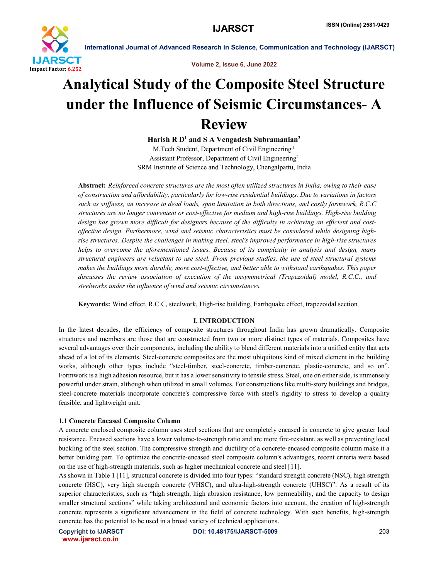



# Analytical Study of the Composite Steel Structure under the Influence of Seismic Circumstances- A Review

Harish R  $D<sup>1</sup>$  and S A Vengadesh Subramanian<sup>2</sup>

M.Tech Student, Department of Civil Engineering <sup>1</sup> Assistant Professor, Department of Civil Engineering2 SRM Institute of Science and Technology, Chengalpattu, India

Abstract: *Reinforced concrete structures are the most often utilized structures in India, owing to their ease of construction and affordability, particularly for low-rise residential buildings. Due to variations in factors such as stiffness, an increase in dead loads, span limitation in both directions, and costly formwork, R.C.C structures are no longer convenient or cost-effective for medium and high-rise buildings. High-rise building design has grown more difficult for designers because of the difficulty in achieving an efficient and costeffective design. Furthermore, wind and seismic characteristics must be considered while designing highrise structures. Despite the challenges in making steel, steel's improved performance in high-rise structures helps to overcome the aforementioned issues. Because of its complexity in analysis and design, many structural engineers are reluctant to use steel. From previous studies, the use of steel structural systems makes the buildings more durable, more cost-effective, and better able to withstand earthquakes. This paper discusses the review association of execution of the unsymmetrical (Trapezoidal) model, R.C.C., and steelworks under the influence of wind and seismic circumstances.*

Keywords: Wind effect, R.C.C, steelwork, High-rise building, Earthquake effect, trapezoidal section

# I. INTRODUCTION

In the latest decades, the efficiency of composite structures throughout India has grown dramatically. Composite structures and members are those that are constructed from two or more distinct types of materials. Composites have several advantages over their components, including the ability to blend different materials into a unified entity that acts ahead of a lot of its elements. Steel-concrete composites are the most ubiquitous kind of mixed element in the building works, although other types include "steel-timber, steel-concrete, timber-concrete, plastic-concrete, and so on". Formwork is a high adhesion resource, but it has a lower sensitivity to tensile stress. Steel, one on either side, is immensely powerful under strain, although when utilized in small volumes. For constructions like multi-story buildings and bridges, steel-concrete materials incorporate concrete's compressive force with steel's rigidity to stress to develop a quality feasible, and lightweight unit.

# 1.1 Concrete Encased Composite Column

A concrete enclosed composite column uses steel sections that are completely encased in concrete to give greater load resistance. Encased sections have a lower volume-to-strength ratio and are more fire-resistant, as well as preventing local buckling of the steel section. The compressive strength and ductility of a concrete-encased composite column make it a better building part. To optimize the concrete-encased steel composite column's advantages, recent criteria were based on the use of high-strength materials, such as higher mechanical concrete and steel [11].

As shown in Table 1 [11], structural concrete is divided into four types: "standard strength concrete (NSC), high strength concrete (HSC), very high strength concrete (VHSC), and ultra-high-strength concrete (UHSC)". As a result of its superior characteristics, such as "high strength, high abrasion resistance, low permeability, and the capacity to design smaller structural sections" while taking architectural and economic factors into account, the creation of high-strength concrete represents a significant advancement in the field of concrete technology. With such benefits, high-strength concrete has the potential to be used in a broad variety of technical applications.

www.ijarsct.co.in

Copyright to IJARSCTDOI: 10.48175/IJARSCT-5009 **203**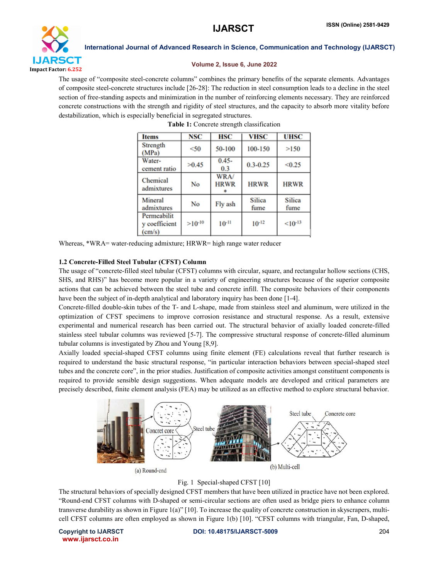

### Volume 2, Issue 6, June 2022

The usage of "composite steel-concrete columns" combines the primary benefits of the separate elements. Advantages of composite steel-concrete structures include [26-28]: The reduction in steel consumption leads to a decline in the steel section of free-standing aspects and minimization in the number of reinforcing elements necessary. They are reinforced concrete constructions with the strength and rigidity of steel structures, and the capacity to absorb more vitality before destabilization, which is especially beneficial in segregated structures.

| <b>Items</b>                           | <b>NSC</b>  | HSC                 | <b>VHSC</b>           | <b>UHSC</b>           |
|----------------------------------------|-------------|---------------------|-----------------------|-----------------------|
| <b>Strength</b><br>(MPa)               | $<$ 50      | 50-100              | 100-150               | >150                  |
| Water-<br>cement ratio                 | >0.45       | $0.45 -$<br>0.3     | $0.3 - 0.25$          | < 0.25                |
| Chemical<br>admixtures                 | No          | WRA/<br><b>HRWR</b> | <b>HRWR</b>           | <b>HRWR</b>           |
| Mineral<br>admixtures                  | No          | Fly ash             | <b>Silica</b><br>fume | <b>Silica</b><br>fume |
| Permeabilit<br>y coefficient<br>(cm/s) | $>10^{-10}$ | $10^{-11}$          | $10^{-12}$            | $< 10^{-13}$          |

Table 1: Concrete strength classification

Whereas, \*WRA= water-reducing admixture; HRWR= high range water reducer

### 1.2 Concrete-Filled Steel Tubular (CFST) Column

The usage of "concrete-filled steel tubular (CFST) columns with circular, square, and rectangular hollow sections (CHS, SHS, and RHS)" has become more popular in a variety of engineering structures because of the superior composite actions that can be achieved between the steel tube and concrete infill. The composite behaviors of their components have been the subject of in-depth analytical and laboratory inquiry has been done [1-4].

Concrete-filled double-skin tubes of the T- and L-shape, made from stainless steel and aluminum, were utilized in the optimization of CFST specimens to improve corrosion resistance and structural response. As a result, extensive experimental and numerical research has been carried out. The structural behavior of axially loaded concrete-filled stainless steel tubular columns was reviewed [5-7]. The compressive structural response of concrete-filled aluminum tubular columns is investigated by Zhou and Young [8,9].

Axially loaded special-shaped CFST columns using finite element (FE) calculations reveal that further research is required to understand the basic structural response, "in particular interaction behaviors between special-shaped steel tubes and the concrete core", in the prior studies. Justification of composite activities amongst constituent components is required to provide sensible design suggestions. When adequate models are developed and critical parameters are precisely described, finite element analysis (FEA) may be utilized as an effective method to explore structural behavior.



Fig. 1 Special-shaped CFST [10]

The structural behaviors of specially designed CFST members that have been utilized in practice have not been explored. "Round-end CFST columns with D-shaped or semi-circular sections are often used as bridge piers to enhance column transverse durability as shown in Figure 1(a)" [10]. To increase the quality of concrete construction in skyscrapers, multicell CFST columns are often employed as shown in Figure 1(b) [10]. "CFST columns with triangular, Fan, D-shaped,

www.ijarsct.co.in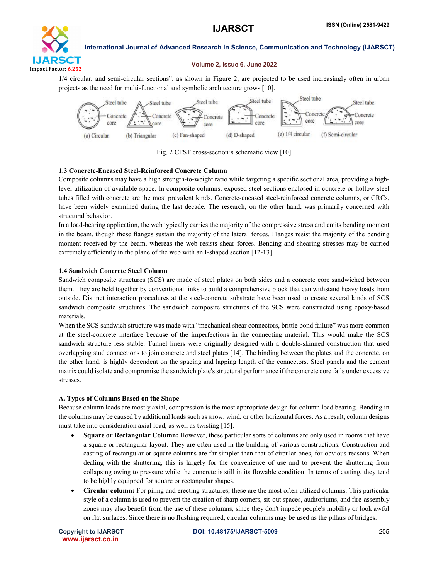

#### Volume 2, Issue 6, June 2022

1/4 circular, and semi-circular sections", as shown in Figure 2, are projected to be used increasingly often in urban projects as the need for multi-functional and symbolic architecture grows [10].



Fig. 2 CFST cross-section's schematic view [10]

# 1.3 Concrete-Encased Steel-Reinforced Concrete Column

Composite columns may have a high strength-to-weight ratio while targeting a specific sectional area, providing a highlevel utilization of available space. In composite columns, exposed steel sections enclosed in concrete or hollow steel tubes filled with concrete are the most prevalent kinds. Concrete-encased steel-reinforced concrete columns, or CRCs, have been widely examined during the last decade. The research, on the other hand, was primarily concerned with structural behavior.

In a load-bearing application, the web typically carries the majority of the compressive stress and emits bending moment in the beam, though these flanges sustain the majority of the lateral forces. Flanges resist the majority of the bending moment received by the beam, whereas the web resists shear forces. Bending and shearing stresses may be carried extremely efficiently in the plane of the web with an I-shaped section [12-13].

# 1.4 Sandwich Concrete Steel Column

Sandwich composite structures (SCS) are made of steel plates on both sides and a concrete core sandwiched between them. They are held together by conventional links to build a comprehensive block that can withstand heavy loads from outside. Distinct interaction procedures at the steel-concrete substrate have been used to create several kinds of SCS sandwich composite structures. The sandwich composite structures of the SCS were constructed using epoxy-based materials.

When the SCS sandwich structure was made with "mechanical shear connectors, brittle bond failure" was more common at the steel-concrete interface because of the imperfections in the connecting material. This would make the SCS sandwich structure less stable. Tunnel liners were originally designed with a double-skinned construction that used overlapping stud connections to join concrete and steel plates [14]. The binding between the plates and the concrete, on the other hand, is highly dependent on the spacing and lapping length of the connectors. Steel panels and the cement matrix could isolate and compromise the sandwich plate's structural performance if the concrete core fails under excessive stresses.

### A. Types of Columns Based on the Shape

Because column loads are mostly axial, compression is the most appropriate design for column load bearing. Bending in the columns may be caused by additional loads such as snow, wind, or other horizontal forces. As a result, column designs must take into consideration axial load, as well as twisting [15].

- Square or Rectangular Column: However, these particular sorts of columns are only used in rooms that have a square or rectangular layout. They are often used in the building of various constructions. Construction and casting of rectangular or square columns are far simpler than that of circular ones, for obvious reasons. When dealing with the shuttering, this is largely for the convenience of use and to prevent the shuttering from collapsing owing to pressure while the concrete is still in its flowable condition. In terms of casting, they tend to be highly equipped for square or rectangular shapes.
- Circular column: For piling and erecting structures, these are the most often utilized columns. This particular style of a column is used to prevent the creation of sharp corners, sit-out spaces, auditoriums, and fire-assembly zones may also benefit from the use of these columns, since they don't impede people's mobility or look awful on flat surfaces. Since there is no flushing required, circular columns may be used as the pillars of bridges.

www.ijarsct.co.in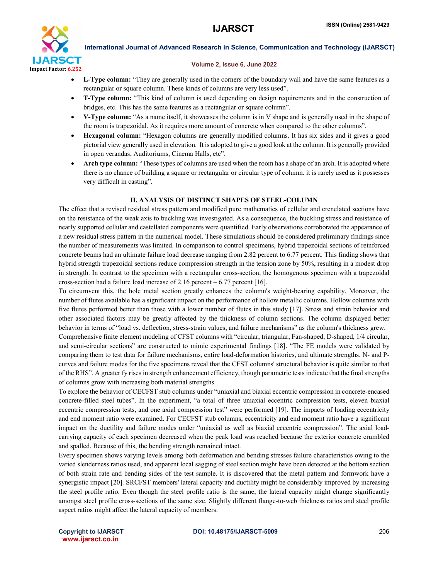

#### Volume 2, Issue 6, June 2022

- L-Type column: "They are generally used in the corners of the boundary wall and have the same features as a rectangular or square column. These kinds of columns are very less used".
- T-Type column: "This kind of column is used depending on design requirements and in the construction of bridges, etc. This has the same features as a rectangular or square column".
- V-Type column: "As a name itself, it showcases the column is in V shape and is generally used in the shape of the room is trapezoidal. As it requires more amount of concrete when compared to the other columns".
- Hexagonal column: "Hexagon columns are generally modified columns. It has six sides and it gives a good pictorial view generally used in elevation. It is adopted to give a good look at the column. It is generally provided in open verandas, Auditoriums, Cinema Halls, etc".
- Arch type column: "These types of columns are used when the room has a shape of an arch. It is adopted where there is no chance of building a square or rectangular or circular type of column. it is rarely used as it possesses very difficult in casting".

# II. ANALYSIS OF DISTINCT SHAPES OF STEEL-COLUMN

The effect that a revised residual stress pattern and modified pure mathematics of cellular and crenelated sections have on the resistance of the weak axis to buckling was investigated. As a consequence, the buckling stress and resistance of nearly supported cellular and castellated components were quantified. Early observations corroborated the appearance of a new residual stress pattern in the numerical model. These simulations should be considered preliminary findings since the number of measurements was limited. In comparison to control specimens, hybrid trapezoidal sections of reinforced concrete beams had an ultimate failure load decrease ranging from 2.82 percent to 6.77 percent. This finding shows that hybrid strength trapezoidal sections reduce compression strength in the tension zone by 50%, resulting in a modest drop in strength. In contrast to the specimen with a rectangular cross-section, the homogenous specimen with a trapezoidal cross-section had a failure load increase of 2.16 percent – 6.77 percent [16].

To circumvent this, the hole metal section greatly enhances the column's weight-bearing capability. Moreover, the number of flutes available has a significant impact on the performance of hollow metallic columns. Hollow columns with five flutes performed better than those with a lower number of flutes in this study [17]. Stress and strain behavior and other associated factors may be greatly affected by the thickness of column sections. The column displayed better behavior in terms of "load vs. deflection, stress-strain values, and failure mechanisms" as the column's thickness grew.

Comprehensive finite element modeling of CFST columns with "circular, triangular, Fan-shaped, D-shaped, 1/4 circular, and semi-circular sections" are constructed to mimic experimental findings [18]. "The FE models were validated by comparing them to test data for failure mechanisms, entire load-deformation histories, and ultimate strengths. N- and Pcurves and failure modes for the five specimens reveal that the CFST columns' structural behavior is quite similar to that of the RHS". A greater fy rises in strength enhancement efficiency, though parametric tests indicate that the final strengths of columns grow with increasing both material strengths.

To explore the behavior of CECFST stub columns under "uniaxial and biaxial eccentric compression in concrete-encased concrete-filled steel tubes". In the experiment, "a total of three uniaxial eccentric compression tests, eleven biaxial eccentric compression tests, and one axial compression test" were performed [19]. The impacts of loading eccentricity and end moment ratio were examined. For CECFST stub columns, eccentricity and end moment ratio have a significant impact on the ductility and failure modes under "uniaxial as well as biaxial eccentric compression". The axial loadcarrying capacity of each specimen decreased when the peak load was reached because the exterior concrete crumbled and spalled. Because of this, the bending strength remained intact.

Every specimen shows varying levels among both deformation and bending stresses failure characteristics owing to the varied slenderness ratios used, and apparent local sagging of steel section might have been detected at the bottom section of both strain rate and bending sides of the test sample. It is discovered that the metal pattern and formwork have a synergistic impact [20]. SRCFST members' lateral capacity and ductility might be considerably improved by increasing the steel profile ratio. Even though the steel profile ratio is the same, the lateral capacity might change significantly amongst steel profile cross-sections of the same size. Slightly different flange-to-web thickness ratios and steel profile aspect ratios might affect the lateral capacity of members.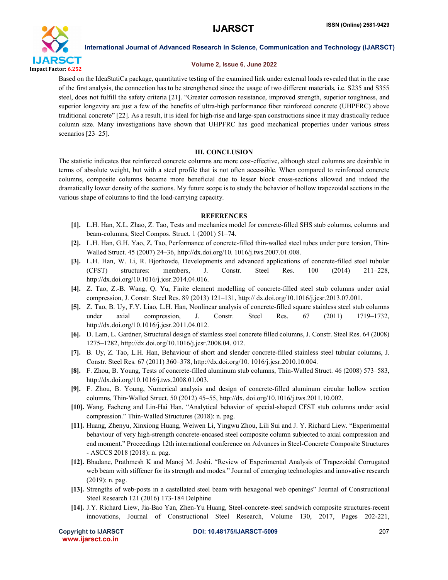

### Volume 2, Issue 6, June 2022

Based on the IdeaStatiCa package, quantitative testing of the examined link under external loads revealed that in the case of the first analysis, the connection has to be strengthened since the usage of two different materials, i.e. S235 and S355 steel, does not fulfill the safety criteria [21]. "Greater corrosion resistance, improved strength, superior toughness, and superior longevity are just a few of the benefits of ultra-high performance fiber reinforced concrete (UHPFRC) above traditional concrete" [22]. As a result, it is ideal for high-rise and large-span constructions since it may drastically reduce column size. Many investigations have shown that UHPFRC has good mechanical properties under various stress scenarios [23–25].

#### III. CONCLUSION

The statistic indicates that reinforced concrete columns are more cost-effective, although steel columns are desirable in terms of absolute weight, but with a steel profile that is not often accessible. When compared to reinforced concrete columns, composite columns became more beneficial due to lesser block cross-sections allowed and indeed the dramatically lower density of the sections. My future scope is to study the behavior of hollow trapezoidal sections in the various shape of columns to find the load-carrying capacity.

#### **REFERENCES**

- [1]. L.H. Han, X.L. Zhao, Z. Tao, Tests and mechanics model for concrete-filled SHS stub columns, columns and beam-columns, Steel Compos. Struct. 1 (2001) 51–74.
- [2]. L.H. Han, G.H. Yao, Z. Tao, Performance of concrete-filled thin-walled steel tubes under pure torsion, Thin-Walled Struct. 45 (2007) 24–36, http://dx.doi.org/10. 1016/j.tws.2007.01.008.
- [3]. L.H. Han, W. Li, R. Bjorhovde, Developments and advanced applications of concrete-filled steel tubular (CFST) structures: members, J. Constr. Steel Res. 100 (2014) 211–228, http://dx.doi.org/10.1016/j.jcsr.2014.04.016.
- [4]. Z. Tao, Z.-B. Wang, Q. Yu, Finite element modelling of concrete-filled steel stub columns under axial compression, J. Constr. Steel Res. 89 (2013) 121–131, http:// dx.doi.org/10.1016/j.jcsr.2013.07.001.
- [5]. Z. Tao, B. Uy, F.Y. Liao, L.H. Han, Nonlinear analysis of concrete-filled square stainless steel stub columns under axial compression, J. Constr. Steel Res. 67 (2011) 1719–1732, http://dx.doi.org/10.1016/j.jcsr.2011.04.012.
- [6]. D. Lam, L. Gardner, Structural design of stainless steel concrete filled columns, J. Constr. Steel Res. 64 (2008) 1275–1282, http://dx.doi.org/10.1016/j.jcsr.2008.04. 012.
- [7]. B. Uy, Z. Tao, L.H. Han, Behaviour of short and slender concrete-filled stainless steel tubular columns, J. Constr. Steel Res. 67 (2011) 360–378, http://dx.doi.org/10. 1016/j.jcsr.2010.10.004.
- [8]. F. Zhou, B. Young, Tests of concrete-filled aluminum stub columns, Thin-Walled Struct. 46 (2008) 573–583, http://dx.doi.org/10.1016/j.tws.2008.01.003.
- [9]. F. Zhou, B. Young, Numerical analysis and design of concrete-filled aluminum circular hollow section columns, Thin-Walled Struct. 50 (2012) 45–55, http://dx. doi.org/10.1016/j.tws.2011.10.002.
- [10]. Wang, Facheng and Lin-Hai Han. "Analytical behavior of special-shaped CFST stub columns under axial compression." Thin-Walled Structures (2018): n. pag.
- [11]. Huang, Zhenyu, Xinxiong Huang, Weiwen Li, Yingwu Zhou, Lili Sui and J. Y. Richard Liew. "Experimental behaviour of very high-strength concrete-encased steel composite column subjected to axial compression and end moment." Proceedings 12th international conference on Advances in Steel-Concrete Composite Structures - ASCCS 2018 (2018): n. pag.
- [12]. Bhadane, Prathmesh K and Manoj M. Joshi. "Review of Experimental Analysis of Trapezoidal Corrugated web beam with stiffener for its strength and modes." Journal of emerging technologies and innovative research (2019): n. pag.
- [13]. Strengths of web-posts in a castellated steel beam with hexagonal web openings" Journal of Constructional Steel Research 121 (2016) 173-184 Delphine
- [14]. J.Y. Richard Liew, Jia-Bao Yan, Zhen-Yu Huang, Steel-concrete-steel sandwich composite structures-recent innovations, Journal of Constructional Steel Research, Volume 130, 2017, Pages 202-221,